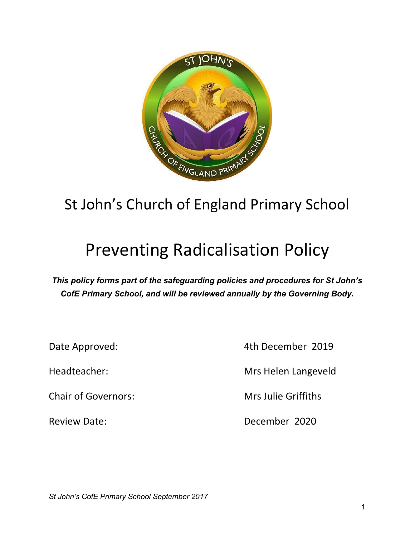

# St John's Church of England Primary School

# Preventing Radicalisation Policy

*This policy forms part of the safeguarding policies and procedures for St John's CofE Primary School, and will be reviewed annually by the Governing Body.*

Chair of Governors: Mrs Julie Griffiths

Date Approved: 4th December 2019

Headteacher: Mrs Helen Langeveld

Review Date: New York 1980 Marshall December 2020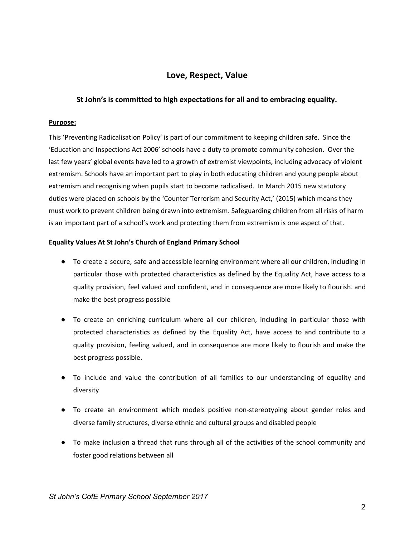# **Love, Respect, Value**

## **St John's is committed to high expectations for all and to embracing equality.**

#### **Purpose:**

This 'Preventing Radicalisation Policy' is part of our commitment to keeping children safe. Since the 'Education and Inspections Act 2006' schools have a duty to promote community cohesion. Over the last few years' global events have led to a growth of extremist viewpoints, including advocacy of violent extremism. Schools have an important part to play in both educating children and young people about extremism and recognising when pupils start to become radicalised. In March 2015 new statutory duties were placed on schools by the 'Counter Terrorism and Security Act,' (2015) which means they must work to prevent children being drawn into extremism. Safeguarding children from all risks of harm is an important part of a school's work and protecting them from extremism is one aspect of that.

#### **Equality Values At St John's Church of England Primary School**

- To create a secure, safe and accessible learning environment where all our children, including in particular those with protected characteristics as defined by the Equality Act, have access to a quality provision, feel valued and confident, and in consequence are more likely to flourish. and make the best progress possible
- To create an enriching curriculum where all our children, including in particular those with protected characteristics as defined by the Equality Act, have access to and contribute to a quality provision, feeling valued, and in consequence are more likely to flourish and make the best progress possible.
- To include and value the contribution of all families to our understanding of equality and diversity
- To create an environment which models positive non-stereotyping about gender roles and diverse family structures, diverse ethnic and cultural groups and disabled people
- To make inclusion a thread that runs through all of the activities of the school community and foster good relations between all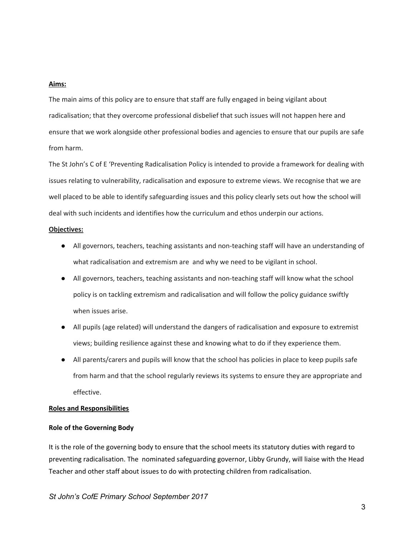#### **Aims:**

The main aims of this policy are to ensure that staff are fully engaged in being vigilant about radicalisation; that they overcome professional disbelief that such issues will not happen here and ensure that we work alongside other professional bodies and agencies to ensure that our pupils are safe from harm.

The St John's C of E 'Preventing Radicalisation Policy is intended to provide a framework for dealing with issues relating to vulnerability, radicalisation and exposure to extreme views. We recognise that we are well placed to be able to identify safeguarding issues and this policy clearly sets out how the school will deal with such incidents and identifies how the curriculum and ethos underpin our actions.

#### **Objectives:**

- All governors, teachers, teaching assistants and non-teaching staff will have an understanding of what radicalisation and extremism are and why we need to be vigilant in school.
- All governors, teachers, teaching assistants and non-teaching staff will know what the school policy is on tackling extremism and radicalisation and will follow the policy guidance swiftly when issues arise.
- All pupils (age related) will understand the dangers of radicalisation and exposure to extremist views; building resilience against these and knowing what to do if they experience them.
- All parents/carers and pupils will know that the school has policies in place to keep pupils safe from harm and that the school regularly reviews its systems to ensure they are appropriate and effective.

#### **Roles and Responsibilities**

#### **Role of the Governing Body**

It is the role of the governing body to ensure that the school meets its statutory duties with regard to preventing radicalisation. The nominated safeguarding governor, Libby Grundy, will liaise with the Head Teacher and other staff about issues to do with protecting children from radicalisation.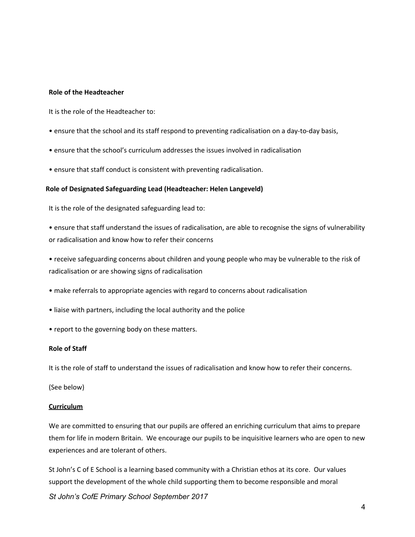#### **Role of the Headteacher**

It is the role of the Headteacher to:

- ensure that the school and its staff respond to preventing radicalisation on a day-to-day basis,
- ensure that the school's curriculum addresses the issues involved in radicalisation
- ensure that staff conduct is consistent with preventing radicalisation.

#### **Role of Designated Safeguarding Lead (Headteacher: Helen Langeveld)**

It is the role of the designated safeguarding lead to:

• ensure that staff understand the issues of radicalisation, are able to recognise the signs of vulnerability or radicalisation and know how to refer their concerns

• receive safeguarding concerns about children and young people who may be vulnerable to the risk of radicalisation or are showing signs of radicalisation

- make referrals to appropriate agencies with regard to concerns about radicalisation
- liaise with partners, including the local authority and the police
- report to the governing body on these matters.

#### **Role of Staff**

It is the role of staff to understand the issues of radicalisation and know how to refer their concerns.

(See below)

#### **Curriculum**

We are committed to ensuring that our pupils are offered an enriching curriculum that aims to prepare them for life in modern Britain. We encourage our pupils to be inquisitive learners who are open to new experiences and are tolerant of others.

St John's C of E School is a learning based community with a Christian ethos at its core. Our values support the development of the whole child supporting them to become responsible and moral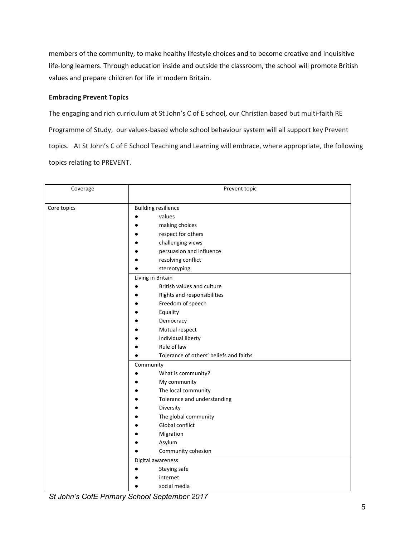members of the community, to make healthy lifestyle choices and to become creative and inquisitive life-long learners. Through education inside and outside the classroom, the school will promote British values and prepare children for life in modern Britain.

### **Embracing Prevent Topics**

The engaging and rich curriculum at St John's C of E school, our Christian based but multi-faith RE Programme of Study, our values-based whole school behaviour system will all support key Prevent topics. At St John's C of E School Teaching and Learning will embrace, where appropriate, the following topics relating to PREVENT.

| Coverage    | Prevent topic                                                                                                                                                                                                                                                                                       |
|-------------|-----------------------------------------------------------------------------------------------------------------------------------------------------------------------------------------------------------------------------------------------------------------------------------------------------|
| Core topics | <b>Building resilience</b><br>values<br>making choices<br>respect for others<br>challenging views<br>persuasion and influence<br>resolving conflict<br>stereotyping<br>Living in Britain<br>British values and culture<br>Rights and responsibilities<br>Freedom of speech<br>Equality<br>Democracy |
|             | Mutual respect<br>Individual liberty<br>Rule of law<br>Tolerance of others' beliefs and faiths<br>Community                                                                                                                                                                                         |
|             | What is community?<br>My community<br>The local community<br>Tolerance and understanding<br>Diversity<br>The global community                                                                                                                                                                       |
|             | <b>Global conflict</b><br>Migration<br>Asylum<br>Community cohesion                                                                                                                                                                                                                                 |
|             | Digital awareness<br>Staying safe<br>internet<br>social media                                                                                                                                                                                                                                       |

*St John's CofE Primary School September 2017*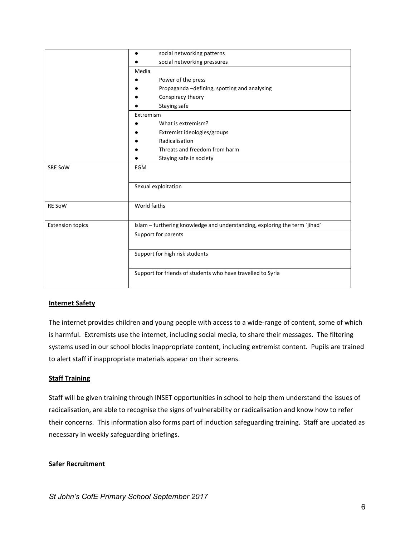|                         | social networking patterns<br>٠                                            |  |  |
|-------------------------|----------------------------------------------------------------------------|--|--|
|                         | social networking pressures                                                |  |  |
|                         | Media                                                                      |  |  |
|                         | Power of the press                                                         |  |  |
|                         | Propaganda - defining, spotting and analysing                              |  |  |
|                         | Conspiracy theory                                                          |  |  |
|                         | Staying safe                                                               |  |  |
|                         | Extremism                                                                  |  |  |
|                         | What is extremism?                                                         |  |  |
|                         | Extremist ideologies/groups                                                |  |  |
|                         | Radicalisation                                                             |  |  |
|                         | Threats and freedom from harm                                              |  |  |
|                         | Staying safe in society                                                    |  |  |
| <b>SRE SoW</b>          | <b>FGM</b>                                                                 |  |  |
|                         |                                                                            |  |  |
|                         | Sexual exploitation                                                        |  |  |
|                         |                                                                            |  |  |
| <b>RE SoW</b>           | World faiths                                                               |  |  |
|                         |                                                                            |  |  |
| <b>Extension topics</b> | Islam - furthering knowledge and understanding, exploring the term `jihad` |  |  |
|                         | Support for parents                                                        |  |  |
|                         |                                                                            |  |  |
|                         | Support for high risk students                                             |  |  |
|                         |                                                                            |  |  |
|                         | Support for friends of students who have travelled to Syria                |  |  |
|                         |                                                                            |  |  |

## **Internet Safety**

The internet provides children and young people with access to a wide-range of content, some of which is harmful. Extremists use the internet, including social media, to share their messages. The filtering systems used in our school blocks inappropriate content, including extremist content. Pupils are trained to alert staff if inappropriate materials appear on their screens.

#### **Staff Training**

Staff will be given training through INSET opportunities in school to help them understand the issues of radicalisation, are able to recognise the signs of vulnerability or radicalisation and know how to refer their concerns. This information also forms part of induction safeguarding training. Staff are updated as necessary in weekly safeguarding briefings.

#### **Safer Recruitment**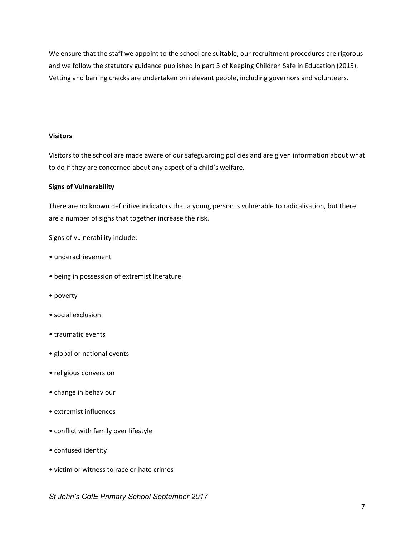We ensure that the staff we appoint to the school are suitable, our recruitment procedures are rigorous and we follow the statutory guidance published in part 3 of Keeping Children Safe in Education (2015). Vetting and barring checks are undertaken on relevant people, including governors and volunteers.

#### **Visitors**

Visitors to the school are made aware of our safeguarding policies and are given information about what to do if they are concerned about any aspect of a child's welfare.

#### **Signs of Vulnerability**

There are no known definitive indicators that a young person is vulnerable to radicalisation, but there are a number of signs that together increase the risk.

Signs of vulnerability include:

- underachievement
- being in possession of extremist literature
- poverty
- social exclusion
- traumatic events
- global or national events
- religious conversion
- change in behaviour
- extremist influences
- conflict with family over lifestyle
- confused identity
- victim or witness to race or hate crimes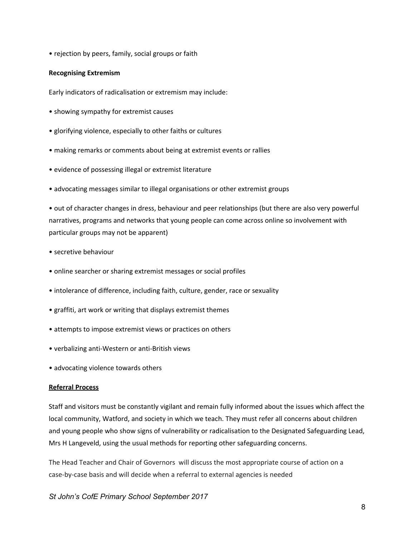• rejection by peers, family, social groups or faith

#### **Recognising Extremism**

Early indicators of radicalisation or extremism may include:

- showing sympathy for extremist causes
- glorifying violence, especially to other faiths or cultures
- making remarks or comments about being at extremist events or rallies
- evidence of possessing illegal or extremist literature
- advocating messages similar to illegal organisations or other extremist groups

• out of character changes in dress, behaviour and peer relationships (but there are also very powerful narratives, programs and networks that young people can come across online so involvement with particular groups may not be apparent)

- secretive behaviour
- online searcher or sharing extremist messages or social profiles
- intolerance of difference, including faith, culture, gender, race or sexuality
- graffiti, art work or writing that displays extremist themes
- attempts to impose extremist views or practices on others
- verbalizing anti-Western or anti-British views
- advocating violence towards others

#### **Referral Process**

Staff and visitors must be constantly vigilant and remain fully informed about the issues which affect the local community, Watford, and society in which we teach. They must refer all concerns about children and young people who show signs of vulnerability or radicalisation to the Designated Safeguarding Lead, Mrs H Langeveld, using the usual methods for reporting other safeguarding concerns.

The Head Teacher and Chair of Governors will discuss the most appropriate course of action on a case-by-case basis and will decide when a referral to external agencies is needed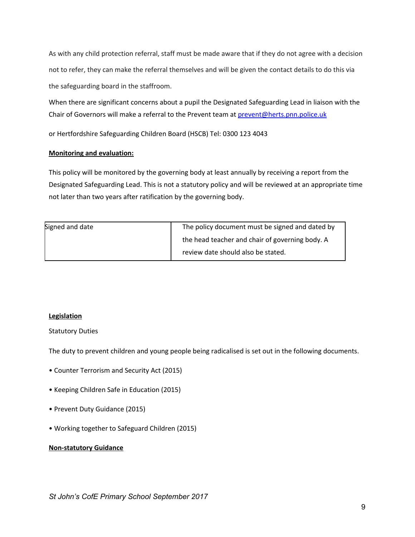As with any child protection referral, staff must be made aware that if they do not agree with a decision not to refer, they can make the referral themselves and will be given the contact details to do this via the safeguarding board in the staffroom.

When there are significant concerns about a pupil the Designated Safeguarding Lead in liaison with the Chair of Governors will make a referral to the Prevent team at *prevent@herts.pnn.police.uk* 

or Hertfordshire Safeguarding Children Board (HSCB) Tel: 0300 123 4043

### **Monitoring and evaluation:**

This policy will be monitored by the governing body at least annually by receiving a report from the Designated Safeguarding Lead. This is not a statutory policy and will be reviewed at an appropriate time not later than two years after ratification by the governing body.

| Signed and date | The policy document must be signed and dated by |
|-----------------|-------------------------------------------------|
|                 | the head teacher and chair of governing body. A |
|                 | review date should also be stated.              |

## **Legislation**

#### Statutory Duties

The duty to prevent children and young people being radicalised is set out in the following documents.

- Counter Terrorism and Security Act (2015)
- Keeping Children Safe in Education (2015)
- Prevent Duty Guidance (2015)
- Working together to Safeguard Children (2015)

#### **Non-statutory Guidance**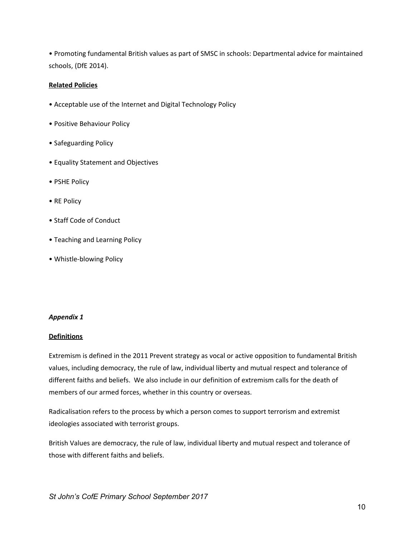• Promoting fundamental British values as part of SMSC in schools: Departmental advice for maintained schools, (DfE 2014).

#### **Related Policies**

- Acceptable use of the Internet and Digital Technology Policy
- Positive Behaviour Policy
- Safeguarding Policy
- Equality Statement and Objectives
- PSHE Policy
- RE Policy
- Staff Code of Conduct
- Teaching and Learning Policy
- Whistle-blowing Policy

#### *Appendix 1*

#### **Definitions**

Extremism is defined in the 2011 Prevent strategy as vocal or active opposition to fundamental British values, including democracy, the rule of law, individual liberty and mutual respect and tolerance of different faiths and beliefs. We also include in our definition of extremism calls for the death of members of our armed forces, whether in this country or overseas.

Radicalisation refers to the process by which a person comes to support terrorism and extremist ideologies associated with terrorist groups.

British Values are democracy, the rule of law, individual liberty and mutual respect and tolerance of those with different faiths and beliefs.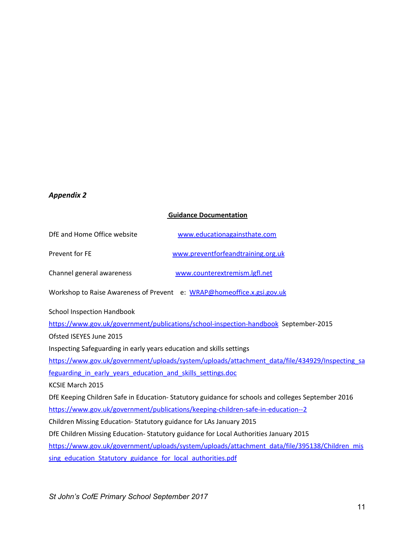# *Appendix 2*

# **Guidance Documentation**

| DfE and Home Office website                                                           | www.educationagainsthate.com                                                                      |
|---------------------------------------------------------------------------------------|---------------------------------------------------------------------------------------------------|
| Prevent for FE                                                                        | www.preventforfeandtraining.org.uk                                                                |
| Channel general awareness                                                             | www.counterextremism.lgfl.net                                                                     |
| Workshop to Raise Awareness of Prevent e: WRAP@homeoffice.x.gsi.gov.uk                |                                                                                                   |
| <b>School Inspection Handbook</b>                                                     |                                                                                                   |
|                                                                                       | https://www.gov.uk/government/publications/school-inspection-handbook September-2015              |
| Ofsted ISEYES June 2015                                                               |                                                                                                   |
| Inspecting Safeguarding in early years education and skills settings                  |                                                                                                   |
|                                                                                       | https://www.gov.uk/government/uploads/system/uploads/attachment_data/file/434929/Inspecting_sa    |
| feguarding in early years education and skills settings.doc                           |                                                                                                   |
| <b>KCSIE March 2015</b>                                                               |                                                                                                   |
|                                                                                       | DfE Keeping Children Safe in Education-Statutory guidance for schools and colleges September 2016 |
| https://www.gov.uk/government/publications/keeping-children-safe-in-education--2      |                                                                                                   |
| Children Missing Education-Statutory guidance for LAs January 2015                    |                                                                                                   |
| DfE Children Missing Education- Statutory guidance for Local Authorities January 2015 |                                                                                                   |
|                                                                                       | https://www.gov.uk/government/uploads/system/uploads/attachment_data/file/395138/Children_mis     |
| sing education Statutory guidance for local authorities.pdf                           |                                                                                                   |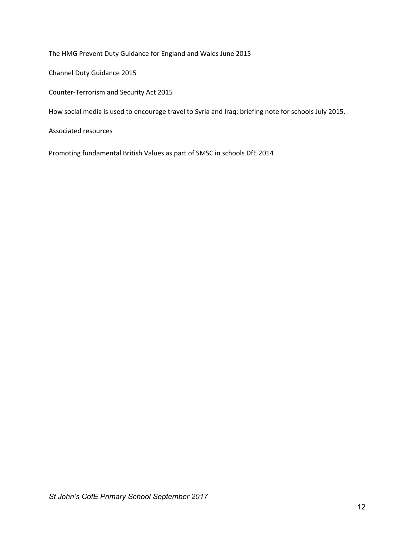The HMG Prevent Duty Guidance for England and Wales June 2015

Channel Duty Guidance 2015

Counter-Terrorism and Security Act 2015

How social media is used to encourage travel to Syria and Iraq: briefing note for schools July 2015.

#### Associated resources

Promoting fundamental British Values as part of SMSC in schools DfE 2014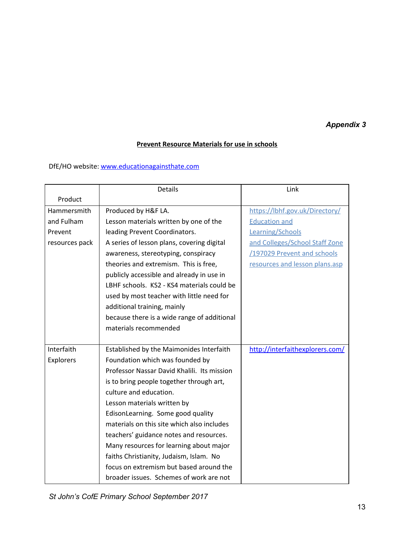# *Appendix 3*

## **Prevent Resource Materials for use in schools**

DfE/HO website[:](http://www.educationagainsthate.com/) [www.educationagainsthate.com](http://www.educationagainsthate.com/)

|                | <b>Details</b>                              | Link                            |
|----------------|---------------------------------------------|---------------------------------|
| Product        |                                             |                                 |
| Hammersmith    | Produced by H&F LA.                         | https://lbhf.gov.uk/Directory/  |
| and Fulham     | Lesson materials written by one of the      | <b>Education and</b>            |
| Prevent        | leading Prevent Coordinators.               | Learning/Schools                |
| resources pack | A series of lesson plans, covering digital  | and Colleges/School Staff Zone  |
|                | awareness, stereotyping, conspiracy         | /197029 Prevent and schools     |
|                | theories and extremism. This is free,       | resources and lesson plans.asp  |
|                | publicly accessible and already in use in   |                                 |
|                | LBHF schools. KS2 - KS4 materials could be  |                                 |
|                | used by most teacher with little need for   |                                 |
|                | additional training, mainly                 |                                 |
|                | because there is a wide range of additional |                                 |
|                | materials recommended                       |                                 |
|                |                                             |                                 |
| Interfaith     | Established by the Maimonides Interfaith    | http://interfaithexplorers.com/ |
| Explorers      | Foundation which was founded by             |                                 |
|                | Professor Nassar David Khalili. Its mission |                                 |
|                | is to bring people together through art,    |                                 |
|                | culture and education.                      |                                 |
|                | Lesson materials written by                 |                                 |
|                | EdisonLearning. Some good quality           |                                 |
|                | materials on this site which also includes  |                                 |
|                | teachers' guidance notes and resources.     |                                 |
|                | Many resources for learning about major     |                                 |
|                | faiths Christianity, Judaism, Islam. No     |                                 |
|                | focus on extremism but based around the     |                                 |
|                | broader issues. Schemes of work are not     |                                 |